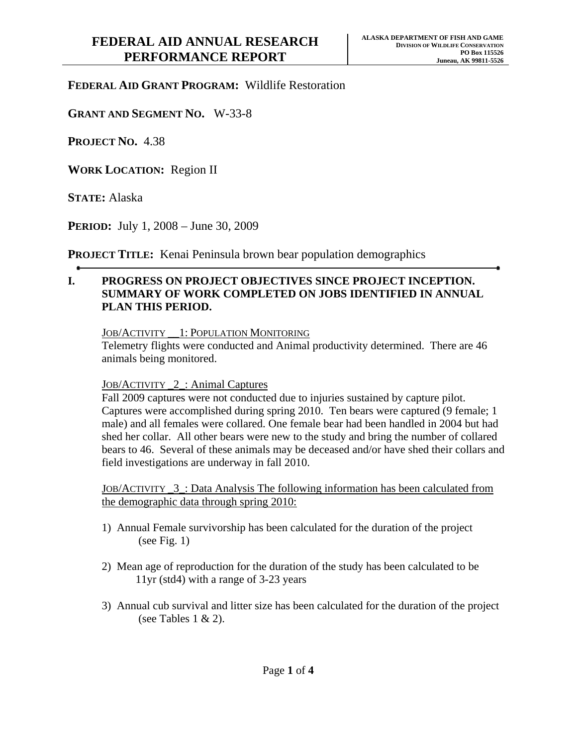## **FEDERAL AID GRANT PROGRAM:** Wildlife Restoration

**GRANT AND SEGMENT NO.** W-33-8

**PROJECT NO.** 4.38

**WORK LOCATION:** Region II

**STATE:** Alaska

**PERIOD:** July 1, 2008 – June 30, 2009

**PROJECT TITLE:** Kenai Peninsula brown bear population demographics

## **I. PROGRESS ON PROJECT OBJECTIVES SINCE PROJECT INCEPTION. SUMMARY OF WORK COMPLETED ON JOBS IDENTIFIED IN ANNUAL PLAN THIS PERIOD.**

## JOB/ACTIVITY \_\_1: POPULATION MONITORING

Telemetry flights were conducted and Animal productivity determined. There are 46 animals being monitored.

## JOB/ACTIVITY \_2\_: Animal Captures

Fall 2009 captures were not conducted due to injuries sustained by capture pilot. Captures were accomplished during spring 2010. Ten bears were captured (9 female; 1 male) and all females were collared. One female bear had been handled in 2004 but had shed her collar. All other bears were new to the study and bring the number of collared bears to 46. Several of these animals may be deceased and/or have shed their collars and field investigations are underway in fall 2010.

JOB/ACTIVITY \_3\_: Data Analysis The following information has been calculated from the demographic data through spring 2010:

- 1) Annual Female survivorship has been calculated for the duration of the project (see Fig.  $1$ )
- 2) Mean age of reproduction for the duration of the study has been calculated to be 11yr (std4) with a range of 3-23 years
- 3) Annual cub survival and litter size has been calculated for the duration of the project (see Tables 1  $\&$  2).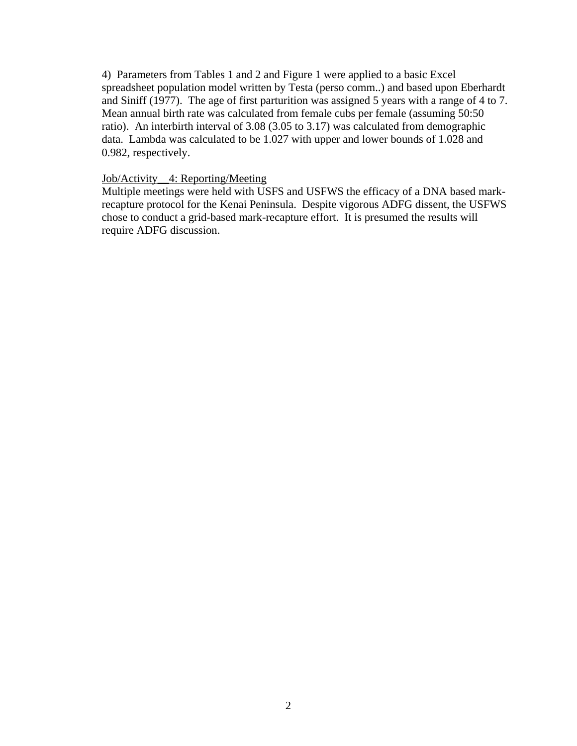4) Parameters from Tables 1 and 2 and Figure 1 were applied to a basic Excel spreadsheet population model written by Testa (perso comm..) and based upon Eberhardt and Siniff (1977). The age of first parturition was assigned 5 years with a range of 4 to 7. Mean annual birth rate was calculated from female cubs per female (assuming 50:50 ratio). An interbirth interval of 3.08 (3.05 to 3.17) was calculated from demographic data. Lambda was calculated to be 1.027 with upper and lower bounds of 1.028 and 0.982, respectively.

## Job/Activity\_\_4: Reporting/Meeting

Multiple meetings were held with USFS and USFWS the efficacy of a DNA based markrecapture protocol for the Kenai Peninsula. Despite vigorous ADFG dissent, the USFWS chose to conduct a grid-based mark-recapture effort. It is presumed the results will require ADFG discussion.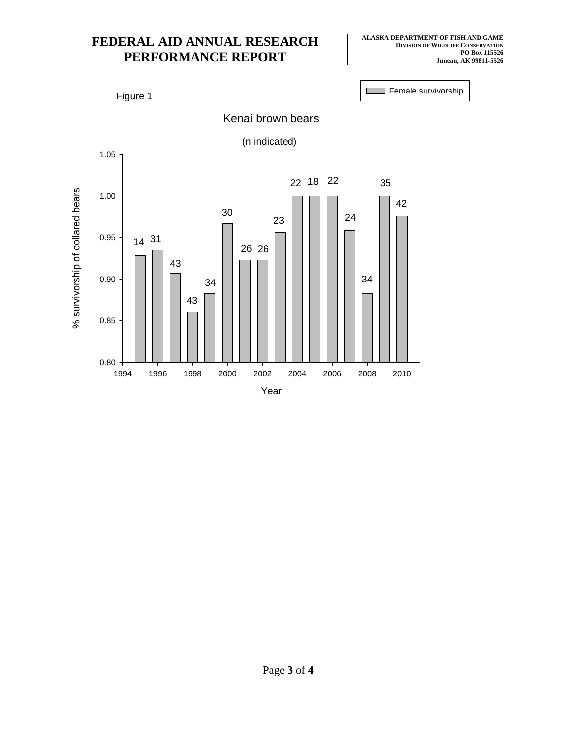# **FEDERAL AID ANNUAL RESEARCH PERFORMANCE REPORT**



# Page **3** of **4**